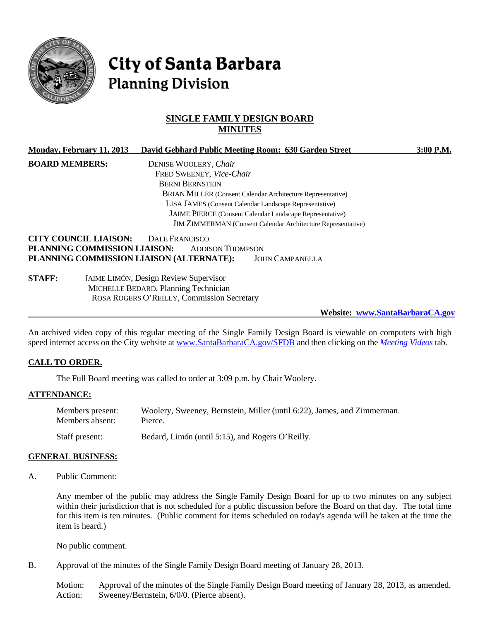

# **City of Santa Barbara Planning Division**

## **SINGLE FAMILY DESIGN BOARD MINUTES**

| Monday, February 11, 2013    | David Gebhard Public Meeting Room: 630 Garden Street                | $3:00$ P.M. |
|------------------------------|---------------------------------------------------------------------|-------------|
| <b>BOARD MEMBERS:</b>        | DENISE WOOLERY, Chair                                               |             |
|                              | FRED SWEENEY, Vice-Chair                                            |             |
|                              | <b>BERNI BERNSTEIN</b>                                              |             |
|                              | <b>BRIAN MILLER</b> (Consent Calendar Architecture Representative)  |             |
|                              | LISA JAMES (Consent Calendar Landscape Representative)              |             |
|                              | <b>JAIME PIERCE</b> (Consent Calendar Landscape Representative)     |             |
|                              | <b>JIM ZIMMERMAN</b> (Consent Calendar Architecture Representative) |             |
| <b>CITY COUNCIL LIAISON:</b> | DALE FRANCISCO                                                      |             |
| PLANNING COMMISSION LIAISON: | <b>ADDISON THOMPSON</b>                                             |             |
|                              | PLANNING COMMISSION LIAISON (ALTERNATE):<br><b>JOHN CAMPANELLA</b>  |             |
| <b>STAFF:</b>                | <b>JAIME LIMÓN, Design Review Supervisor</b><br>$M_{\text{KCHI}}$   |             |

MICHELLE BEDARD, Planning Technician ROSA ROGERS O'REILLY, Commission Secretary

**Website: www.SantaBarbaraCA.gov**

An archived video copy of this regular meeting of the Single Family Design Board is viewable on computers with high speed internet access on the City website at [www.SantaBarbaraCA.gov/SFDB](http://www.santabarbaraca.gov/SFDB) and then clicking on the *Meeting Videos* tab.

## **CALL TO ORDER.**

The Full Board meeting was called to order at 3:09 p.m. by Chair Woolery.

#### **ATTENDANCE:**

| Members present: | Woolery, Sweeney, Bernstein, Miller (until 6:22), James, and Zimmerman. |
|------------------|-------------------------------------------------------------------------|
| Members absent:  | Pierce.                                                                 |
| Staff present:   | Bedard, Limón (until 5:15), and Rogers O'Reilly.                        |

#### **GENERAL BUSINESS:**

A. Public Comment:

Any member of the public may address the Single Family Design Board for up to two minutes on any subject within their jurisdiction that is not scheduled for a public discussion before the Board on that day. The total time for this item is ten minutes. (Public comment for items scheduled on today's agenda will be taken at the time the item is heard.)

No public comment.

B. Approval of the minutes of the Single Family Design Board meeting of January 28, 2013.

Motion: Approval of the minutes of the Single Family Design Board meeting of January 28, 2013, as amended. Action: Sweeney/Bernstein, 6/0/0. (Pierce absent).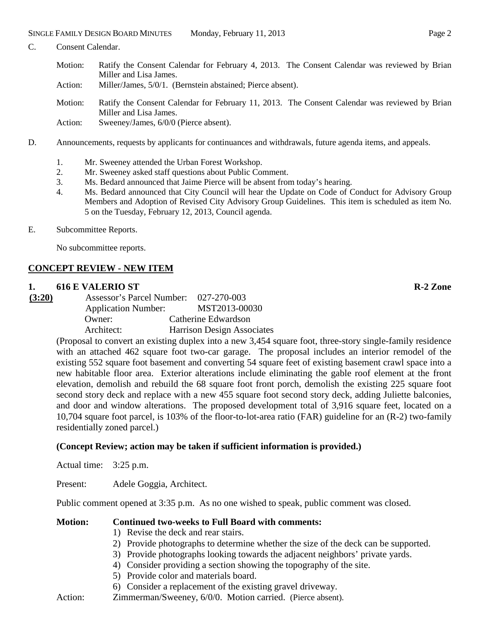- C. Consent Calendar.
	- Motion: Ratify the Consent Calendar for February 4, 2013. The Consent Calendar was reviewed by Brian Miller and Lisa James.
	- Action: Miller/James, 5/0/1. (Bernstein abstained; Pierce absent).
	- Motion: Ratify the Consent Calendar for February 11, 2013. The Consent Calendar was reviewed by Brian Miller and Lisa James.
	- Action: Sweeney/James,  $6/0/0$  (Pierce absent).
- D. Announcements, requests by applicants for continuances and withdrawals, future agenda items, and appeals.
	- 1. Mr. Sweeney attended the Urban Forest Workshop.
	- 2. Mr. Sweeney asked staff questions about Public Comment.
	- 3. Ms. Bedard announced that Jaime Pierce will be absent from today's hearing.
	- 4. Ms. Bedard announced that City Council will hear the Update on Code of Conduct for Advisory Group Members and Adoption of Revised City Advisory Group Guidelines. This item is scheduled as item No. 5 on the Tuesday, February 12, 2013, Council agenda.
- E. Subcommittee Reports.

No subcommittee reports.

## **CONCEPT REVIEW - NEW ITEM**

#### **1. 616 E VALERIO ST R-2 Zone**

**(3:20)** Assessor's Parcel Number: 027-270-003 Application Number: MST2013-00030 Owner: Catherine Edwardson Architect: Harrison Design Associates

(Proposal to convert an existing duplex into a new 3,454 square foot, three-story single-family residence with an attached 462 square foot two-car garage. The proposal includes an interior remodel of the existing 552 square foot basement and converting 54 square feet of existing basement crawl space into a new habitable floor area. Exterior alterations include eliminating the gable roof element at the front elevation, demolish and rebuild the 68 square foot front porch, demolish the existing 225 square foot second story deck and replace with a new 455 square foot second story deck, adding Juliette balconies, and door and window alterations. The proposed development total of 3,916 square feet, located on a 10,704 square foot parcel, is 103% of the floor-to-lot-area ratio (FAR) guideline for an (R-2) two-family residentially zoned parcel.)

## **(Concept Review; action may be taken if sufficient information is provided.)**

Actual time: 3:25 p.m.

Present: Adele Goggia, Architect.

Public comment opened at 3:35 p.m. As no one wished to speak, public comment was closed.

#### **Motion: Continued two-weeks to Full Board with comments:**

- 1) Revise the deck and rear stairs.
- 2) Provide photographs to determine whether the size of the deck can be supported.
- 3) Provide photographs looking towards the adjacent neighbors' private yards.
- 4) Consider providing a section showing the topography of the site.
- 5) Provide color and materials board.
- 6) Consider a replacement of the existing gravel driveway.
- Action: Zimmerman/Sweeney, 6/0/0. Motion carried. (Pierce absent).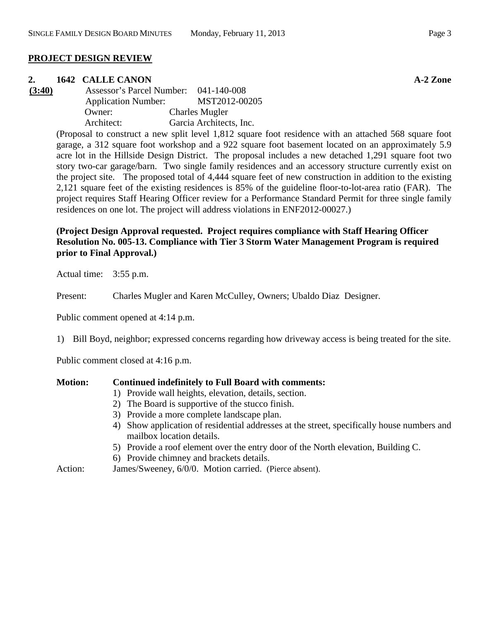#### **PROJECT DESIGN REVIEW**

#### **2. 1642 CALLE CANON A-2 Zone**

**(3:40)** Assessor's Parcel Number: 041-140-008 Application Number: MST2012-00205 Owner: Charles Mugler Architect: Garcia Architects, Inc.

> (Proposal to construct a new split level 1,812 square foot residence with an attached 568 square foot garage, a 312 square foot workshop and a 922 square foot basement located on an approximately 5.9 acre lot in the Hillside Design District. The proposal includes a new detached 1,291 square foot two story two-car garage/barn. Two single family residences and an accessory structure currently exist on the project site. The proposed total of 4,444 square feet of new construction in addition to the existing 2,121 square feet of the existing residences is 85% of the guideline floor-to-lot-area ratio (FAR). The project requires Staff Hearing Officer review for a Performance Standard Permit for three single family residences on one lot. The project will address violations in ENF2012-00027.)

## **(Project Design Approval requested. Project requires compliance with Staff Hearing Officer Resolution No. 005-13. Compliance with Tier 3 Storm Water Management Program is required prior to Final Approval.)**

Actual time: 3:55 p.m.

Present: Charles Mugler and Karen McCulley, Owners; Ubaldo Diaz Designer.

Public comment opened at 4:14 p.m.

1) Bill Boyd, neighbor; expressed concerns regarding how driveway access is being treated for the site.

Public comment closed at 4:16 p.m.

#### **Motion: Continued indefinitely to Full Board with comments:**

- 1) Provide wall heights, elevation, details, section.
- 2) The Board is supportive of the stucco finish.
- 3) Provide a more complete landscape plan.
- 4) Show application of residential addresses at the street, specifically house numbers and mailbox location details.
- 5) Provide a roof element over the entry door of the North elevation, Building C.
- 6) Provide chimney and brackets details.
- Action: James/Sweeney, 6/0/0. Motion carried. (Pierce absent).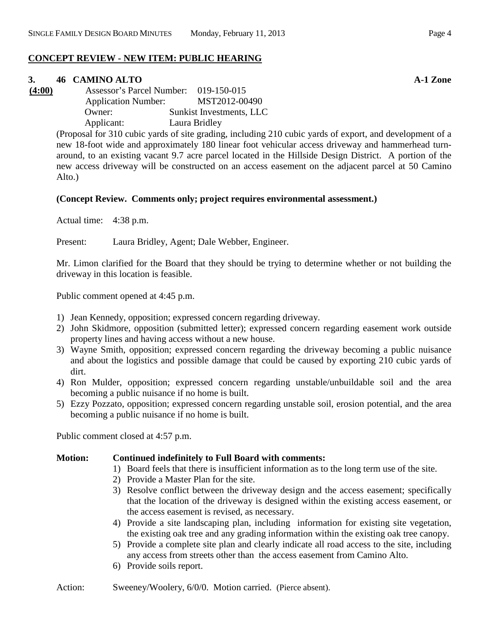#### **CONCEPT REVIEW - NEW ITEM: PUBLIC HEARING**

#### **3. 46 CAMINO ALTO A-1 Zone**

**(4:00)** Assessor's Parcel Number: 019-150-015 Application Number: MST2012-00490 Owner: Sunkist Investments, LLC Applicant: Laura Bridley

> (Proposal for 310 cubic yards of site grading, including 210 cubic yards of export, and development of a new 18-foot wide and approximately 180 linear foot vehicular access driveway and hammerhead turnaround, to an existing vacant 9.7 acre parcel located in the Hillside Design District. A portion of the new access driveway will be constructed on an access easement on the adjacent parcel at 50 Camino Alto.)

#### **(Concept Review. Comments only; project requires environmental assessment.)**

Actual time: 4:38 p.m.

Present: Laura Bridley, Agent; Dale Webber, Engineer.

Mr. Limon clarified for the Board that they should be trying to determine whether or not building the driveway in this location is feasible.

Public comment opened at 4:45 p.m.

- 1) Jean Kennedy, opposition; expressed concern regarding driveway.
- 2) John Skidmore, opposition (submitted letter); expressed concern regarding easement work outside property lines and having access without a new house.
- 3) Wayne Smith, opposition; expressed concern regarding the driveway becoming a public nuisance and about the logistics and possible damage that could be caused by exporting 210 cubic yards of dirt.
- 4) Ron Mulder, opposition; expressed concern regarding unstable/unbuildable soil and the area becoming a public nuisance if no home is built.
- 5) Ezzy Pozzato, opposition; expressed concern regarding unstable soil, erosion potential, and the area becoming a public nuisance if no home is built.

Public comment closed at 4:57 p.m.

#### **Motion: Continued indefinitely to Full Board with comments:**

- 1) Board feels that there is insufficient information as to the long term use of the site.
- 2) Provide a Master Plan for the site.
- 3) Resolve conflict between the driveway design and the access easement; specifically that the location of the driveway is designed within the existing access easement, or the access easement is revised, as necessary.
- 4) Provide a site landscaping plan, including information for existing site vegetation, the existing oak tree and any grading information within the existing oak tree canopy.
- 5) Provide a complete site plan and clearly indicate all road access to the site, including any access from streets other than the access easement from Camino Alto.
- 6) Provide soils report.

Action: Sweeney/Woolery, 6/0/0. Motion carried. (Pierce absent).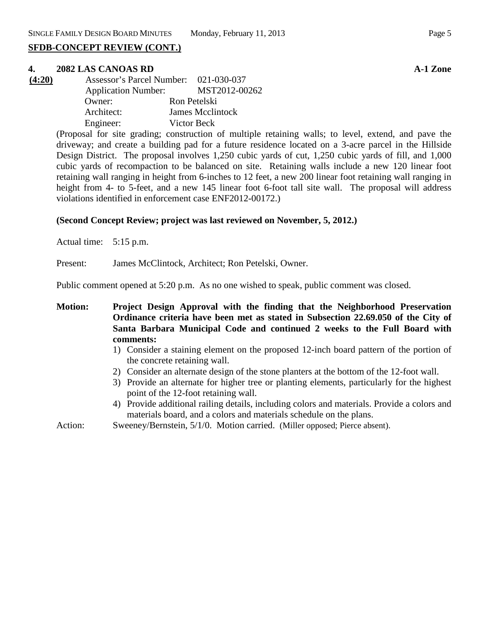## **SFDB-CONCEPT REVIEW (CONT.)**

#### **4. 2082 LAS CANOAS RD A-1 Zone**

| Assessor's Parcel Number: 021-030-037<br>(4:20) |                            |              |                  |
|-------------------------------------------------|----------------------------|--------------|------------------|
|                                                 | <b>Application Number:</b> |              | MST2012-00262    |
|                                                 | Owner:                     | Ron Petelski |                  |
|                                                 | Architect:                 |              | James Mcclintock |
|                                                 | Engineer:                  | Victor Beck  |                  |

(Proposal for site grading; construction of multiple retaining walls; to level, extend, and pave the driveway; and create a building pad for a future residence located on a 3-acre parcel in the Hillside Design District. The proposal involves 1,250 cubic yards of cut, 1,250 cubic yards of fill, and 1,000 cubic yards of recompaction to be balanced on site. Retaining walls include a new 120 linear foot retaining wall ranging in height from 6-inches to 12 feet, a new 200 linear foot retaining wall ranging in height from 4- to 5-feet, and a new 145 linear foot 6-foot tall site wall. The proposal will address violations identified in enforcement case ENF2012-00172.)

#### **(Second Concept Review; project was last reviewed on November, 5, 2012.)**

Actual time: 5:15 p.m.

Present: James McClintock, Architect; Ron Petelski, Owner.

Public comment opened at 5:20 p.m. As no one wished to speak, public comment was closed.

- **Motion: Project Design Approval with the finding that the Neighborhood Preservation Ordinance criteria have been met as stated in Subsection 22.69.050 of the City of Santa Barbara Municipal Code and continued 2 weeks to the Full Board with comments:**
	- 1) Consider a staining element on the proposed 12-inch board pattern of the portion of the concrete retaining wall.
	- 2) Consider an alternate design of the stone planters at the bottom of the 12-foot wall.
	- 3) Provide an alternate for higher tree or planting elements, particularly for the highest point of the 12-foot retaining wall.
	- 4) Provide additional railing details, including colors and materials. Provide a colors and materials board, and a colors and materials schedule on the plans.

Action: Sweeney/Bernstein, 5/1/0. Motion carried. (Miller opposed; Pierce absent).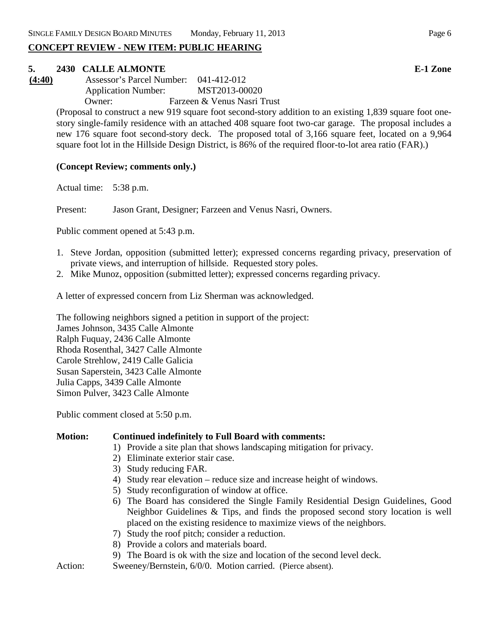## **CONCEPT REVIEW - NEW ITEM: PUBLIC HEARING**

#### **5. 2430 CALLE ALMONTE E-1 Zone**

**(4:40)** Assessor's Parcel Number: 041-412-012 Application Number: MST2013-00020 Owner: Farzeen & Venus Nasri Trust

(Proposal to construct a new 919 square foot second-story addition to an existing 1,839 square foot onestory single-family residence with an attached 408 square foot two-car garage. The proposal includes a new 176 square foot second-story deck. The proposed total of 3,166 square feet, located on a 9,964 square foot lot in the Hillside Design District, is 86% of the required floor-to-lot area ratio (FAR).)

## **(Concept Review; comments only.)**

Actual time: 5:38 p.m.

Present: Jason Grant, Designer; Farzeen and Venus Nasri, Owners.

Public comment opened at 5:43 p.m.

- 1. Steve Jordan, opposition (submitted letter); expressed concerns regarding privacy, preservation of private views, and interruption of hillside. Requested story poles.
- 2. Mike Munoz, opposition (submitted letter); expressed concerns regarding privacy.

A letter of expressed concern from Liz Sherman was acknowledged.

The following neighbors signed a petition in support of the project: James Johnson, 3435 Calle Almonte Ralph Fuquay, 2436 Calle Almonte Rhoda Rosenthal, 3427 Calle Almonte Carole Strehlow, 2419 Calle Galicia Susan Saperstein, 3423 Calle Almonte Julia Capps, 3439 Calle Almonte Simon Pulver, 3423 Calle Almonte

Public comment closed at 5:50 p.m.

#### **Motion: Continued indefinitely to Full Board with comments:**

- 1) Provide a site plan that shows landscaping mitigation for privacy.
- 2) Eliminate exterior stair case.
- 3) Study reducing FAR.
- 4) Study rear elevation reduce size and increase height of windows.
- 5) Study reconfiguration of window at office.
- 6) The Board has considered the Single Family Residential Design Guidelines, Good Neighbor Guidelines & Tips, and finds the proposed second story location is well placed on the existing residence to maximize views of the neighbors.
- 7) Study the roof pitch; consider a reduction.
- 8) Provide a colors and materials board.
- 9) The Board is ok with the size and location of the second level deck.
- Action: Sweeney/Bernstein, 6/0/0. Motion carried. (Pierce absent).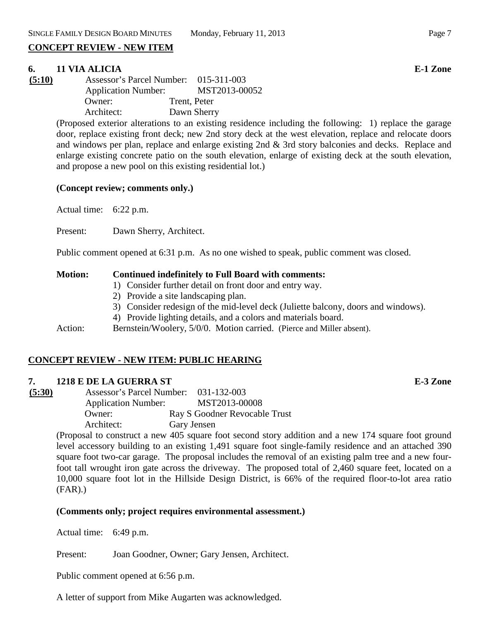## **CONCEPT REVIEW - NEW ITEM**

## **6. 11 VIA ALICIA E-1 Zone**

| (5:10) | Assessor's Parcel Number: 015-311-003 |               |
|--------|---------------------------------------|---------------|
|        | <b>Application Number:</b>            | MST2013-00052 |
|        | Owner:                                | Trent, Peter  |
|        | Architect:                            | Dawn Sherry   |

(Proposed exterior alterations to an existing residence including the following: 1) replace the garage door, replace existing front deck; new 2nd story deck at the west elevation, replace and relocate doors and windows per plan, replace and enlarge existing 2nd & 3rd story balconies and decks. Replace and enlarge existing concrete patio on the south elevation, enlarge of existing deck at the south elevation, and propose a new pool on this existing residential lot.)

#### **(Concept review; comments only.)**

Actual time: 6:22 p.m.

Present: Dawn Sherry, Architect.

Public comment opened at 6:31 p.m. As no one wished to speak, public comment was closed.

#### **Motion: Continued indefinitely to Full Board with comments:**

- 1) Consider further detail on front door and entry way.
- 2) Provide a site landscaping plan.
- 3) Consider redesign of the mid-level deck (Juliette balcony, doors and windows).
- 4) Provide lighting details, and a colors and materials board.

Action: Bernstein/Woolery, 5/0/0. Motion carried. (Pierce and Miller absent).

## **CONCEPT REVIEW - NEW ITEM: PUBLIC HEARING**

## **7. 1218 E DE LA GUERRA ST E-3 Zone**

**(5:30)** Assessor's Parcel Number: 031-132-003 Application Number: MST2013-00008 Owner: Ray S Goodner Revocable Trust Architect: Gary Jensen

> (Proposal to construct a new 405 square foot second story addition and a new 174 square foot ground level accessory building to an existing 1,491 square foot single-family residence and an attached 390 square foot two-car garage. The proposal includes the removal of an existing palm tree and a new fourfoot tall wrought iron gate across the driveway. The proposed total of 2,460 square feet, located on a 10,000 square foot lot in the Hillside Design District, is 66% of the required floor-to-lot area ratio (FAR).)

## **(Comments only; project requires environmental assessment.)**

Actual time: 6:49 p.m.

Present: Joan Goodner, Owner; Gary Jensen, Architect.

Public comment opened at 6:56 p.m.

A letter of support from Mike Augarten was acknowledged.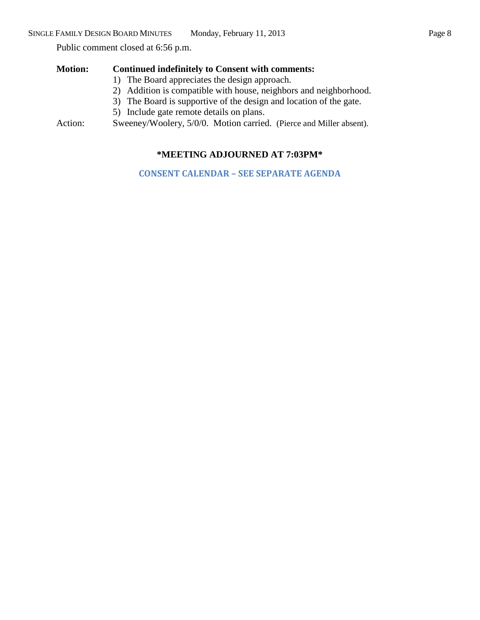Public comment closed at 6:56 p.m.

## **Motion: Continued indefinitely to Consent with comments:**

- 1) The Board appreciates the design approach.
- 2) Addition is compatible with house, neighbors and neighborhood.
- 3) The Board is supportive of the design and location of the gate.
- 5) Include gate remote details on plans.

Action: Sweeney/Woolery, 5/0/0. Motion carried. (Pierce and Miller absent).

## **\*MEETING ADJOURNED AT 7:03PM\***

**CONSENT CALENDAR – SEE SEPARATE AGENDA**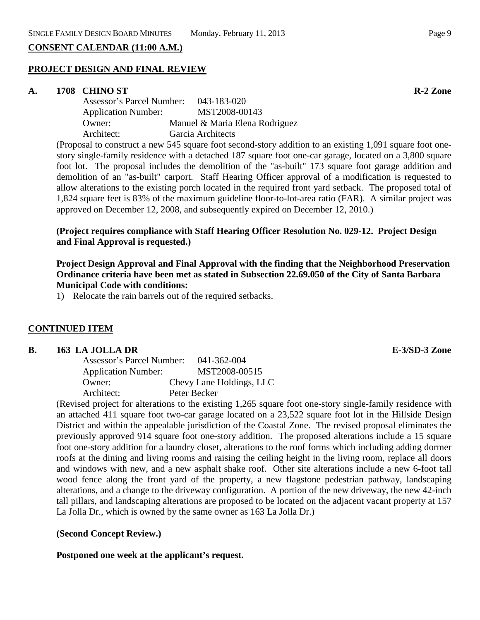## **CONSENT CALENDAR (11:00 A.M.)**

#### **PROJECT DESIGN AND FINAL REVIEW**

#### **A. 1708 CHINO ST R-2 Zone**

| Assessor's Parcel Number:  | 043-183-020                    |
|----------------------------|--------------------------------|
| <b>Application Number:</b> | MST2008-00143                  |
| Owner:                     | Manuel & Maria Elena Rodriguez |
| Architect:                 | Garcia Architects              |

(Proposal to construct a new 545 square foot second-story addition to an existing 1,091 square foot onestory single-family residence with a detached 187 square foot one-car garage, located on a 3,800 square foot lot. The proposal includes the demolition of the "as-built" 173 square foot garage addition and demolition of an "as-built" carport. Staff Hearing Officer approval of a modification is requested to allow alterations to the existing porch located in the required front yard setback. The proposed total of 1,824 square feet is 83% of the maximum guideline floor-to-lot-area ratio (FAR). A similar project was approved on December 12, 2008, and subsequently expired on December 12, 2010.)

## **(Project requires compliance with Staff Hearing Officer Resolution No. 029-12. Project Design and Final Approval is requested.)**

## **Project Design Approval and Final Approval with the finding that the Neighborhood Preservation Ordinance criteria have been met as stated in Subsection 22.69.050 of the City of Santa Barbara Municipal Code with conditions:**

1) Relocate the rain barrels out of the required setbacks.

## **CONTINUED ITEM**

#### **B. 163 LA JOLLA DR E-3/SD-3 Zone**

| Assessor's Parcel Number:  | 041-362-004              |
|----------------------------|--------------------------|
| <b>Application Number:</b> | MST2008-00515            |
| Owner:                     | Chevy Lane Holdings, LLC |
| Architect:                 | Peter Becker             |

(Revised project for alterations to the existing 1,265 square foot one-story single-family residence with an attached 411 square foot two-car garage located on a 23,522 square foot lot in the Hillside Design District and within the appealable jurisdiction of the Coastal Zone. The revised proposal eliminates the previously approved 914 square foot one-story addition. The proposed alterations include a 15 square foot one-story addition for a laundry closet, alterations to the roof forms which including adding dormer roofs at the dining and living rooms and raising the ceiling height in the living room, replace all doors and windows with new, and a new asphalt shake roof. Other site alterations include a new 6-foot tall wood fence along the front yard of the property, a new flagstone pedestrian pathway, landscaping alterations, and a change to the driveway configuration. A portion of the new driveway, the new 42-inch tall pillars, and landscaping alterations are proposed to be located on the adjacent vacant property at 157 La Jolla Dr., which is owned by the same owner as 163 La Jolla Dr.)

## **(Second Concept Review.)**

**Postponed one week at the applicant's request.**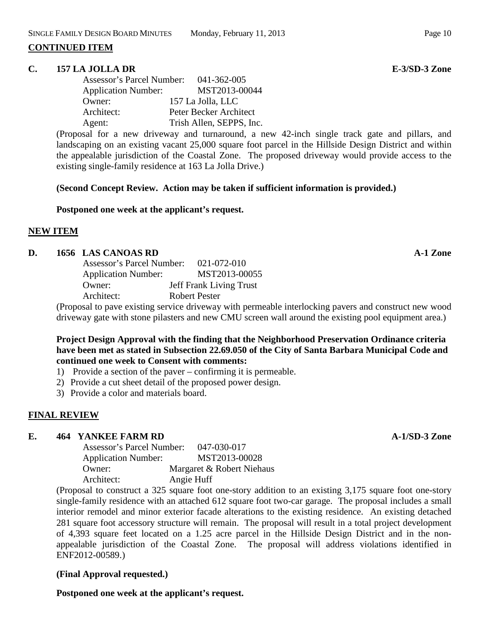#### **CONTINUED ITEM**

#### **C. 157 LA JOLLA DR E-3/SD-3 Zone**

| <b>Assessor's Parcel Number:</b> | 041-362-005              |
|----------------------------------|--------------------------|
| <b>Application Number:</b>       | MST2013-00044            |
| Owner:                           | 157 La Jolla, LLC        |
| Architect:                       | Peter Becker Architect   |
| Agent:                           | Trish Allen, SEPPS, Inc. |

(Proposal for a new driveway and turnaround, a new 42-inch single track gate and pillars, and landscaping on an existing vacant 25,000 square foot parcel in the Hillside Design District and within the appealable jurisdiction of the Coastal Zone. The proposed driveway would provide access to the existing single-family residence at 163 La Jolla Drive.)

#### **(Second Concept Review. Action may be taken if sufficient information is provided.)**

#### **Postponed one week at the applicant's request.**

#### **NEW ITEM**

#### **D. 1656 LAS CANOAS RD A-1 Zone**

| Assessor's Parcel Number:  | 021-072-010                    |
|----------------------------|--------------------------------|
| <b>Application Number:</b> | MST2013-00055                  |
| Owner:                     | <b>Jeff Frank Living Trust</b> |
| Architect:                 | Robert Pester                  |
|                            |                                |

(Proposal to pave existing service driveway with permeable interlocking pavers and construct new wood driveway gate with stone pilasters and new CMU screen wall around the existing pool equipment area.)

## **Project Design Approval with the finding that the Neighborhood Preservation Ordinance criteria have been met as stated in Subsection 22.69.050 of the City of Santa Barbara Municipal Code and continued one week to Consent with comments:**

- 1) Provide a section of the paver confirming it is permeable.
- 2) Provide a cut sheet detail of the proposed power design.
- 3) Provide a color and materials board.

## **FINAL REVIEW**

## **E. 464 YANKEE FARM RD A-1/SD-3 Zone**

| Assessor's Parcel Number:  | 047-030-017               |
|----------------------------|---------------------------|
| <b>Application Number:</b> | MST2013-00028             |
| Owner:                     | Margaret & Robert Niehaus |
| Architect:                 | Angie Huff                |

(Proposal to construct a 325 square foot one-story addition to an existing 3,175 square foot one-story single-family residence with an attached 612 square foot two-car garage. The proposal includes a small interior remodel and minor exterior facade alterations to the existing residence. An existing detached 281 square foot accessory structure will remain. The proposal will result in a total project development of 4,393 square feet located on a 1.25 acre parcel in the Hillside Design District and in the nonappealable jurisdiction of the Coastal Zone. The proposal will address violations identified in ENF2012-00589.)

## **(Final Approval requested.)**

**Postponed one week at the applicant's request.**